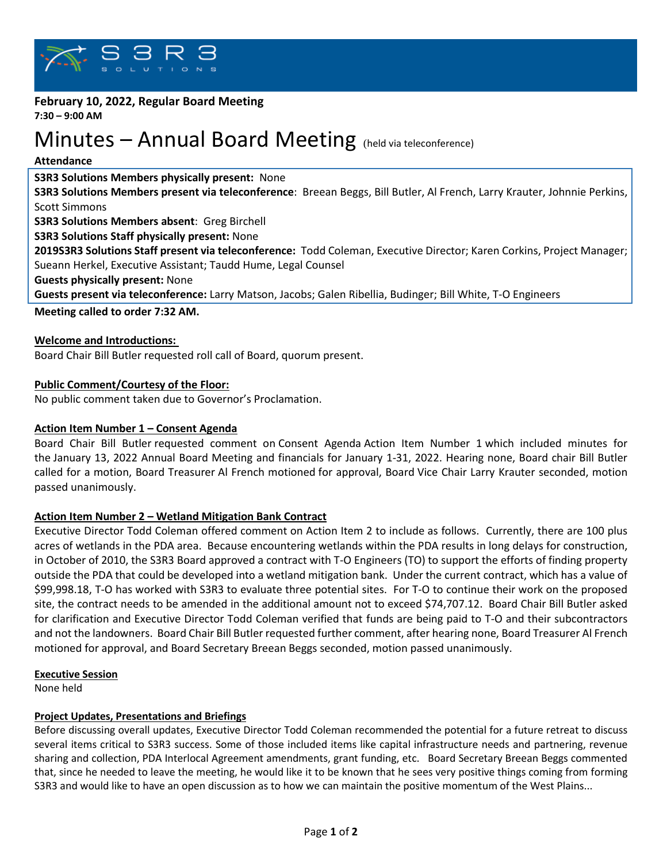

# **February 10, 2022, Regular Board Meeting**

**7:30 – 9:00 AM**

# Minutes – Annual Board Meeting (held via teleconference)

## **Attendance**

# **S3R3 Solutions Members physically present:** None

**S3R3 Solutions Members present via teleconference**: Breean Beggs, Bill Butler, Al French, Larry Krauter, Johnnie Perkins, Scott Simmons

**S3R3 Solutions Members absent**: Greg Birchell

**S3R3 Solutions Staff physically present:** None

**2019S3R3 Solutions Staff present via teleconference:** Todd Coleman, Executive Director; Karen Corkins, Project Manager; Sueann Herkel, Executive Assistant; Taudd Hume, Legal Counsel

**Guests physically present:** None

**Guests present via teleconference:** Larry Matson, Jacobs; Galen Ribellia, Budinger; Bill White, T-O Engineers

**Meeting called to order 7:32 AM.**

# **Welcome and Introductions:**

Board Chair Bill Butler requested roll call of Board, quorum present.

# **Public Comment/Courtesy of the Floor:**

No public comment taken due to Governor's Proclamation.

## **Action Item Number 1 – Consent Agenda**

Board Chair Bill Butler requested comment on Consent Agenda Action Item Number 1 which included minutes for the January 13, 2022 Annual Board Meeting and financials for January 1-31, 2022. Hearing none, Board chair Bill Butler called for a motion, Board Treasurer Al French motioned for approval, Board Vice Chair Larry Krauter seconded, motion passed unanimously.

# **Action Item Number 2 – Wetland Mitigation Bank Contract**

Executive Director Todd Coleman offered comment on Action Item 2 to include as follows. Currently, there are 100 plus acres of wetlands in the PDA area. Because encountering wetlands within the PDA results in long delays for construction, in October of 2010, the S3R3 Board approved a contract with T-O Engineers (TO) to support the efforts of finding property outside the PDA that could be developed into a wetland mitigation bank. Under the current contract, which has a value of \$99,998.18, T-O has worked with S3R3 to evaluate three potential sites. For T-O to continue their work on the proposed site, the contract needs to be amended in the additional amount not to exceed \$74,707.12. Board Chair Bill Butler asked for clarification and Executive Director Todd Coleman verified that funds are being paid to T-O and their subcontractors and not the landowners. Board Chair Bill Butler requested further comment, after hearing none, Board Treasurer Al French motioned for approval, and Board Secretary Breean Beggs seconded, motion passed unanimously.

#### **Executive Session**

None held

# **Project Updates, Presentations and Briefings**

Before discussing overall updates, Executive Director Todd Coleman recommended the potential for a future retreat to discuss several items critical to S3R3 success. Some of those included items like capital infrastructure needs and partnering, revenue sharing and collection, PDA Interlocal Agreement amendments, grant funding, etc. Board Secretary Breean Beggs commented that, since he needed to leave the meeting, he would like it to be known that he sees very positive things coming from forming S3R3 and would like to have an open discussion as to how we can maintain the positive momentum of the West Plains...